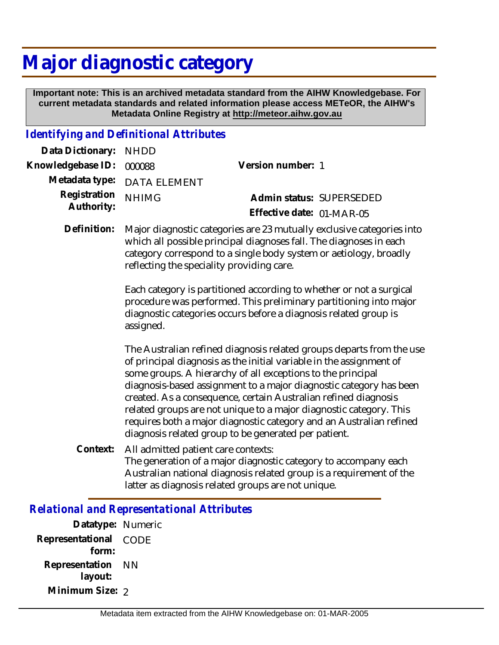## **Major diagnostic category**

 **Important note: This is an archived metadata standard from the AIHW Knowledgebase. For current metadata standards and related information please access METeOR, the AIHW's Metadata Online Registry at http://meteor.aihw.gov.au**

## *Identifying and Definitional Attributes*

| Data Dictionary: NHDD    |                             |                           |  |
|--------------------------|-----------------------------|---------------------------|--|
| Knowledgebase ID: 000088 |                             | Version number: 1         |  |
|                          | Metadata type: DATA ELEMENT |                           |  |
| Registration NHIMG       |                             | Admin status: SUPERSEDED  |  |
| Authority:               |                             | Effective date: 01-MAR-05 |  |

Definition: Major diagnostic categories are 23 mutually exclusive categories into which all possible principal diagnoses fall. The diagnoses in each category correspond to a single body system or aetiology, broadly reflecting the speciality providing care.

> Each category is partitioned according to whether or not a surgical procedure was performed. This preliminary partitioning into major diagnostic categories occurs before a diagnosis related group is assigned.

The Australian refined diagnosis related groups departs from the use of principal diagnosis as the initial variable in the assignment of some groups. A hierarchy of all exceptions to the principal diagnosis-based assignment to a major diagnostic category has been created. As a consequence, certain Australian refined diagnosis related groups are not unique to a major diagnostic category. This requires both a major diagnostic category and an Australian refined diagnosis related group to be generated per patient.

All admitted patient care contexts: The generation of a major diagnostic category to accompany each Australian national diagnosis related group is a requirement of the latter as diagnosis related groups are not unique. **Context:**

## *Relational and Representational Attributes*

**Datatype:** Numeric **Representational** CODE  **form: Representation** NN  **layout: Minimum Size:** 2